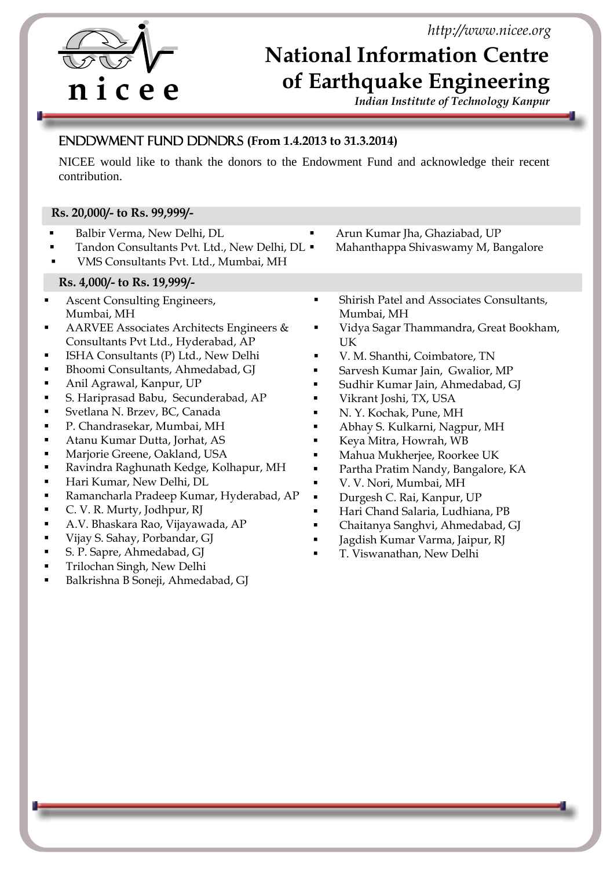*http://www.nicee.org*



i

## **National Information Centre of Earthquake Engineering**

*Indian Institute of Technology Kanpur* 

## Endowment Fund Donors **(From 1.4.2013 to 31.3.2014)**

NICEE would like to thank the donors to the Endowment Fund and acknowledge their recent contribution.

## **Rs. 20,000/- to Rs. 99,999/-**

 Balbir Verma, New Delhi, DL Tandon Consultants Pvt. Ltd., New Delhi, DL . VMS Consultants Pvt. Ltd., Mumbai, MH Arun Kumar Jha, Ghaziabad, UP Mahanthappa Shivaswamy M, Bangalore **Rs. 4,000/- to Rs. 19,999/-** Ascent Consulting Engineers, Mumbai, MH AARVEE Associates Architects Engineers & Consultants Pvt Ltd., Hyderabad, AP **ISHA Consultants (P) Ltd., New Delhi**  Bhoomi Consultants, Ahmedabad, GJ Anil Agrawal, Kanpur, UP S. Hariprasad Babu, Secunderabad, AP Svetlana N. Brzev, BC, Canada P. Chandrasekar, Mumbai, MH Atanu Kumar Dutta, Jorhat, AS **Marjorie Greene, Oakland, USA**  Ravindra Raghunath Kedge, Kolhapur, MH **Hari Kumar, New Delhi, DL**  Ramancharla Pradeep Kumar, Hyderabad, AP C. V. R. Murty, Jodhpur, RJ A.V. Bhaskara Rao, Vijayawada, AP Vijay S. Sahay, Porbandar, GJ S. P. Sapre, Ahmedabad, GJ **Trilochan Singh, New Delhi**  Balkrishna B Soneji, Ahmedabad, GJ Shirish Patel and Associates Consultants, Mumbai, MH Vidya Sagar Thammandra, Great Bookham, UK V. M. Shanthi, Coimbatore, TN Sarvesh Kumar Jain, Gwalior, MP Sudhir Kumar Jain, Ahmedabad, GJ Vikrant Joshi, TX, USA N. Y. Kochak, Pune, MH Abhay S. Kulkarni, Nagpur, MH Keya Mitra, Howrah, WB Mahua Mukherjee, Roorkee UK Partha Pratim Nandy, Bangalore, KA V. V. Nori, Mumbai, MH Durgesh C. Rai, Kanpur, UP Hari Chand Salaria, Ludhiana, PB Chaitanya Sanghvi, Ahmedabad, GJ Jagdish Kumar Varma, Jaipur, RJ T. Viswanathan, New Delhi